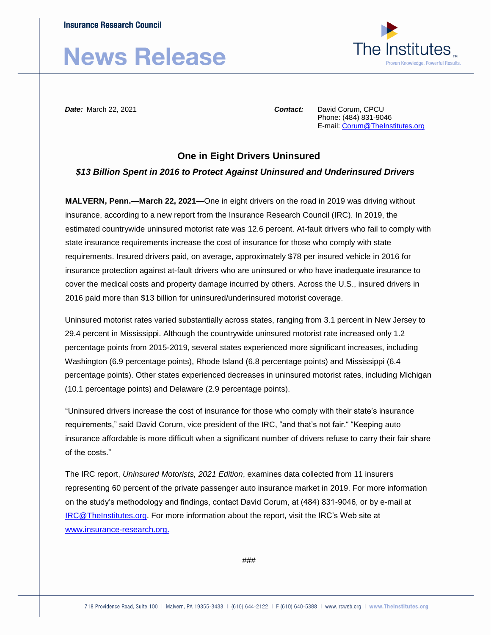## **News Release**



*Date:* March 22, 2021 *Contact:* David Corum, CPCU

Phone: (484) 831-9046 E-mail[: Corum@TheInstitutes.org](mailto:Corum@TheInstitutes.org)

## **One in Eight Drivers Uninsured**

## *\$13 Billion Spent in 2016 to Protect Against Uninsured and Underinsured Drivers*

**MALVERN, Penn.—March 22, 2021—**One in eight drivers on the road in 2019 was driving without insurance, according to a new report from the Insurance Research Council (IRC). In 2019, the estimated countrywide uninsured motorist rate was 12.6 percent. At-fault drivers who fail to comply with state insurance requirements increase the cost of insurance for those who comply with state requirements. Insured drivers paid, on average, approximately \$78 per insured vehicle in 2016 for insurance protection against at-fault drivers who are uninsured or who have inadequate insurance to cover the medical costs and property damage incurred by others. Across the U.S., insured drivers in 2016 paid more than \$13 billion for uninsured/underinsured motorist coverage.

Uninsured motorist rates varied substantially across states, ranging from 3.1 percent in New Jersey to 29.4 percent in Mississippi. Although the countrywide uninsured motorist rate increased only 1.2 percentage points from 2015-2019, several states experienced more significant increases, including Washington (6.9 percentage points), Rhode Island (6.8 percentage points) and Mississippi (6.4 percentage points). Other states experienced decreases in uninsured motorist rates, including Michigan (10.1 percentage points) and Delaware (2.9 percentage points).

"Uninsured drivers increase the cost of insurance for those who comply with their state's insurance requirements," said David Corum, vice president of the IRC, "and that's not fair." "Keeping auto insurance affordable is more difficult when a significant number of drivers refuse to carry their fair share of the costs."

The IRC report, *Uninsured Motorists, 2021 Edition*, examines data collected from 11 insurers representing 60 percent of the private passenger auto insurance market in 2019. For more information on the study's methodology and findings, contact David Corum, at (484) 831-9046, or by e-mail at [IRC@TheInstitutes.org.](mailto:IRC@TheInstitutes.org) For more information about the report, visit the IRC's Web site at [www.insurance-research.org.](http://www.insurance-research.org/)